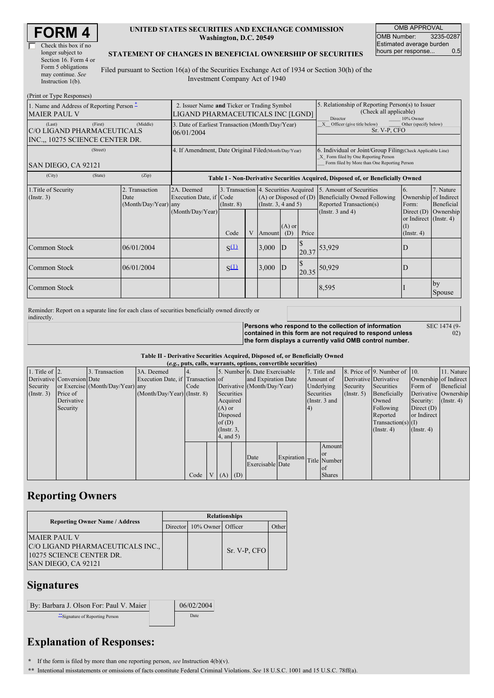| Check this box if no  |
|-----------------------|
| longer subject to     |
| Section 16. Form 4 or |
| Form 5 obligations    |
| may continue. See     |
| Instruction $1(b)$ .  |

### **UNITED STATES SECURITIES AND EXCHANGE COMMISSION Washington, D.C. 20549**

OMB APPROVAL OMB Number: 3235-0287 Estimated average burden<br>hours per response... 0.5 hours per response...

#### **STATEMENT OF CHANGES IN BENEFICIAL OWNERSHIP OF SECURITIES**

Filed pursuant to Section 16(a) of the Securities Exchange Act of 1934 or Section 30(h) of the Investment Company Act of 1940

| (Print or Type Responses)                                               |                                                                                  |                                                |                                                                                  |                         |   |                                                                                                                                                    |                                                                                                             |                |                                                                                                                    |                                                                                  |                                                               |
|-------------------------------------------------------------------------|----------------------------------------------------------------------------------|------------------------------------------------|----------------------------------------------------------------------------------|-------------------------|---|----------------------------------------------------------------------------------------------------------------------------------------------------|-------------------------------------------------------------------------------------------------------------|----------------|--------------------------------------------------------------------------------------------------------------------|----------------------------------------------------------------------------------|---------------------------------------------------------------|
| 1. Name and Address of Reporting Person –<br><b>MAIER PAUL V</b>        | 2. Issuer Name and Ticker or Trading Symbol<br>LIGAND PHARMACEUTICALS INC [LGND] |                                                |                                                                                  |                         |   |                                                                                                                                                    | 5. Relationship of Reporting Person(s) to Issuer<br>(Check all applicable)<br>Director<br>10% Owner         |                |                                                                                                                    |                                                                                  |                                                               |
| (Last)<br>C/O LIGAND PHARMACEUTICALS<br>INC.,, 10275 SCIENCE CENTER DR. | 3. Date of Earliest Transaction (Month/Day/Year)<br>06/01/2004                   |                                                |                                                                                  |                         |   |                                                                                                                                                    | Officer (give title below)<br>Other (specify below)<br>X<br>Sr. V-P, CFO                                    |                |                                                                                                                    |                                                                                  |                                                               |
| SAN DIEGO, CA 92121                                                     | 4. If Amendment, Date Original Filed (Month/Day/Year)                            |                                                |                                                                                  |                         |   | 6. Individual or Joint/Group Filing(Check Applicable Line)<br>X Form filed by One Reporting Person<br>Form filed by More than One Reporting Person |                                                                                                             |                |                                                                                                                    |                                                                                  |                                                               |
| (City)                                                                  | (State)                                                                          | (Zip)                                          | Table I - Non-Derivative Securities Acquired, Disposed of, or Beneficially Owned |                         |   |                                                                                                                                                    |                                                                                                             |                |                                                                                                                    |                                                                                  |                                                               |
| 1. Title of Security<br>(Insert. 3)                                     |                                                                                  | 2. Transaction<br>Date<br>(Month/Day/Year) any | 2A. Deemed<br>Execution Date, if Code<br>(Month/Day/Year)                        | $($ Instr. $8)$<br>Code | V | Amount                                                                                                                                             | 3. Transaction 4. Securities Acquired<br>$(A)$ or Disposed of $(D)$<br>(Instr. $3, 4$ and $5$ )<br>$(A)$ or |                | 5. Amount of Securities<br><b>Beneficially Owned Following</b><br>Reported Transaction(s)<br>(Instr. $3$ and $4$ ) | 6.<br>Form:<br>Direct $(D)$<br>or Indirect (Instr. 4)<br>(I)<br>$($ Instr. 4 $)$ | 7. Nature<br>Ownership of Indirect<br>Beneficial<br>Ownership |
| Common Stock                                                            |                                                                                  | 06/01/2004                                     |                                                                                  | $S^{(1)}$               |   | 3,000                                                                                                                                              | (D)<br> D                                                                                                   | Price<br>20.37 | 53,929                                                                                                             |                                                                                  |                                                               |
| Common Stock                                                            |                                                                                  | 06/01/2004                                     |                                                                                  | $S^{(1)}$               |   | 3,000                                                                                                                                              | D                                                                                                           | 20.35          | 50,929                                                                                                             |                                                                                  |                                                               |
| Common Stock                                                            |                                                                                  |                                                |                                                                                  |                         |   |                                                                                                                                                    |                                                                                                             |                | 8,595                                                                                                              |                                                                                  | by<br>Spouse                                                  |

Reminder: Report on a separate line for each class of securities beneficially owned directly or indirectly.

**Persons who respond to the collection of information contained in this form are not required to respond unless the form displays a currently valid OMB control number.** SEC 1474 (9-

02)

#### **Table II - Derivative Securities Acquired, Disposed of, or Beneficially Owned**

| (e.g., puts, calls, warrants, options, convertible securities) |                            |                                  |                                   |      |   |                 |  |                               |                             |                 |               |                       |                              |               |                       |
|----------------------------------------------------------------|----------------------------|----------------------------------|-----------------------------------|------|---|-----------------|--|-------------------------------|-----------------------------|-----------------|---------------|-----------------------|------------------------------|---------------|-----------------------|
| 1. Title of $\vert$ 2.                                         |                            | 3. Transaction                   | 3A. Deemed                        |      |   |                 |  | 5. Number 6. Date Exercisable |                             |                 | 7. Title and  |                       | 8. Price of 9. Number of 10. |               | 11. Nature            |
|                                                                | Derivative Conversion Date |                                  | Execution Date, if Transaction of |      |   |                 |  | and Expiration Date           |                             |                 | Amount of     | Derivative Derivative |                              |               | Ownership of Indirect |
| Security                                                       |                            | or Exercise (Month/Day/Year) any |                                   | Code |   |                 |  |                               | Derivative (Month/Day/Year) |                 | Underlying    | Security              | Securities                   | Form of       | Beneficial            |
| (Insert. 3)                                                    | Price of                   |                                  | $(Month/Day/Year)$ (Instr. 8)     |      |   | Securities      |  |                               |                             |                 | Securities    | $($ Instr. 5)         | Beneficially                 |               | Derivative Ownership  |
|                                                                | Derivative                 |                                  |                                   |      |   | Acquired        |  |                               |                             | (Instr. $3$ and |               |                       | Owned                        | Security:     | $($ Instr. 4)         |
|                                                                | Security                   |                                  |                                   |      |   | $(A)$ or        |  |                               |                             | 4)              |               |                       | Following                    | Direct $(D)$  |                       |
|                                                                |                            |                                  |                                   |      |   | Disposed        |  |                               |                             |                 |               |                       | Reported                     | or Indirect   |                       |
|                                                                |                            |                                  |                                   |      |   | of(D)           |  |                               |                             |                 |               |                       | $Transaction(s)$ (I)         |               |                       |
|                                                                |                            |                                  |                                   |      |   | $($ Instr. $3,$ |  |                               |                             |                 |               |                       | $($ Instr. 4 $)$             | $($ Instr. 4) |                       |
|                                                                |                            |                                  |                                   |      |   | $4$ , and $5$ ) |  |                               |                             |                 |               |                       |                              |               |                       |
|                                                                |                            |                                  |                                   |      |   |                 |  |                               |                             |                 | Amount        |                       |                              |               |                       |
|                                                                |                            |                                  |                                   |      |   |                 |  | Date                          | Expiration                  |                 | <b>or</b>     |                       |                              |               |                       |
|                                                                |                            |                                  |                                   |      |   |                 |  | Exercisable Date              |                             |                 | Title Number  |                       |                              |               |                       |
|                                                                |                            |                                  |                                   |      |   |                 |  |                               |                             |                 | l of          |                       |                              |               |                       |
|                                                                |                            |                                  |                                   | Code | V | $(A)$ $(D)$     |  |                               |                             |                 | <b>Shares</b> |                       |                              |               |                       |

# **Reporting Owners**

|                                                                                                           | <b>Relationships</b> |                            |              |       |  |  |  |  |
|-----------------------------------------------------------------------------------------------------------|----------------------|----------------------------|--------------|-------|--|--|--|--|
| <b>Reporting Owner Name / Address</b>                                                                     |                      | Director 10% Owner Officer |              | Other |  |  |  |  |
| <b>MAIER PAUL V</b><br>C/O LIGAND PHARMACEUTICALS INC.<br>10275 SCIENCE CENTER DR.<br>SAN DIEGO, CA 92121 |                      |                            | Sr. V-P, CFO |       |  |  |  |  |

## **Signatures**

| By: Barbara J. Olson For: Paul V. Maier | 06/02/2004 |
|-----------------------------------------|------------|
| "Signature of Reporting Person          | Date       |

# **Explanation of Responses:**

**\*** If the form is filed by more than one reporting person, *see* Instruction 4(b)(v).

**\*\*** Intentional misstatements or omissions of facts constitute Federal Criminal Violations. *See* 18 U.S.C. 1001 and 15 U.S.C. 78ff(a).